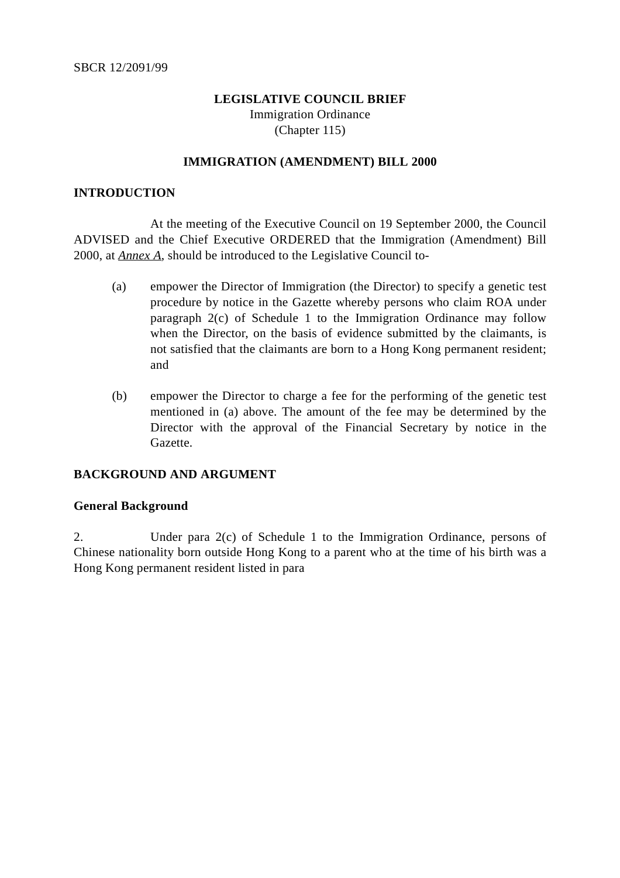# **LEGISLATIVE COUNCIL BRIEF** Immigration Ordinance (Chapter 115)

## **IMMIGRATION (AMENDMENT) BILL 2000**

## **INTRODUCTION**

At the meeting of the Executive Council on 19 September 2000, the Council ADVISED and the Chief Executive ORDERED that the Immigration (Amendment) Bill 2000, at *Annex A*, should be introduced to the Legislative Council to-

- (a) empower the Director of Immigration (the Director) to specify a genetic test procedure by notice in the Gazette whereby persons who claim ROA under paragraph 2(c) of Schedule 1 to the Immigration Ordinance may follow when the Director, on the basis of evidence submitted by the claimants, is not satisfied that the claimants are born to a Hong Kong permanent resident; and
- (b) empower the Director to charge a fee for the performing of the genetic test mentioned in (a) above. The amount of the fee may be determined by the Director with the approval of the Financial Secretary by notice in the Gazette.

## **BACKGROUND AND ARGUMENT**

## **General Background**

2. Under para 2(c) of Schedule 1 to the Immigration Ordinance, persons of Chinese nationality born outside Hong Kong to a parent who at the time of his birth was a Hong Kong permanent resident listed in para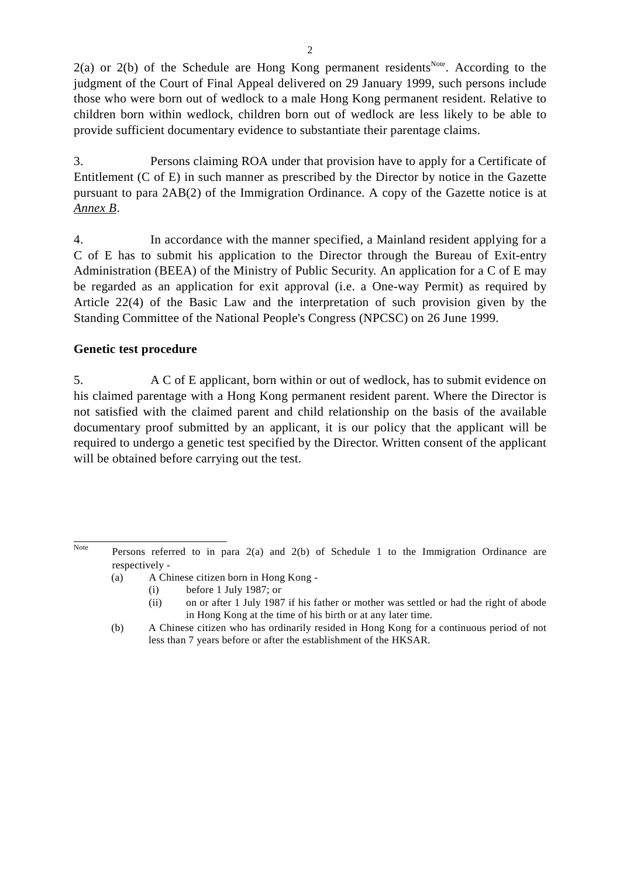$2(a)$  or  $2(b)$  of the Schedule are Hong Kong permanent residents<sup>Note</sup>. According to the judgment of the Court of Final Appeal delivered on 29 January 1999, such persons include those who were born out of wedlock to a male Hong Kong permanent resident. Relative to children born within wedlock, children born out of wedlock are less likely to be able to provide sufficient documentary evidence to substantiate their parentage claims.

3. Persons claiming ROA under that provision have to apply for a Certificate of Entitlement (C of E) in such manner as prescribed by the Director by notice in the Gazette pursuant to para 2AB(2) of the Immigration Ordinance. A copy of the Gazette notice is at *Annex B*.

4. In accordance with the manner specified, a Mainland resident applying for a C of E has to submit his application to the Director through the Bureau of Exit-entry Administration (BEEA) of the Ministry of Public Security. An application for a C of E may be regarded as an application for exit approval (i.e. a One-way Permit) as required by Article 22(4) of the Basic Law and the interpretation of such provision given by the Standing Committee of the National People's Congress (NPCSC) on 26 June 1999.

# **Genetic test procedure**

5. A C of E applicant, born within or out of wedlock, has to submit evidence on his claimed parentage with a Hong Kong permanent resident parent. Where the Director is not satisfied with the claimed parent and child relationship on the basis of the available documentary proof submitted by an applicant, it is our policy that the applicant will be required to undergo a genetic test specified by the Director. Written consent of the applicant will be obtained before carrying out the test.

Note Persons referred to in para  $2(a)$  and  $2(b)$  of Schedule 1 to the Immigration Ordinance are respectively -

<sup>(</sup>a) A Chinese citizen born in Hong Kong -

<sup>(</sup>i) before 1 July 1987; or

<sup>(</sup>ii) on or after 1 July 1987 if his father or mother was settled or had the right of abode in Hong Kong at the time of his birth or at any later time.

<sup>(</sup>b) A Chinese citizen who has ordinarily resided in Hong Kong for a continuous period of not less than 7 years before or after the establishment of the HKSAR.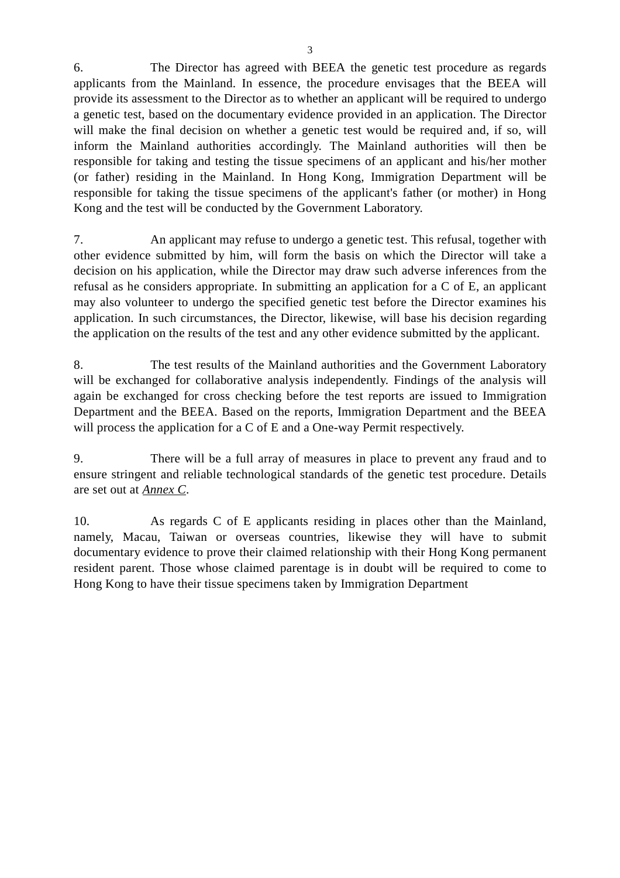6. The Director has agreed with BEEA the genetic test procedure as regards applicants from the Mainland. In essence, the procedure envisages that the BEEA will provide its assessment to the Director as to whether an applicant will be required to undergo a genetic test, based on the documentary evidence provided in an application. The Director will make the final decision on whether a genetic test would be required and, if so, will inform the Mainland authorities accordingly. The Mainland authorities will then be responsible for taking and testing the tissue specimens of an applicant and his/her mother (or father) residing in the Mainland. In Hong Kong, Immigration Department will be responsible for taking the tissue specimens of the applicant's father (or mother) in Hong Kong and the test will be conducted by the Government Laboratory.

7. An applicant may refuse to undergo a genetic test. This refusal, together with other evidence submitted by him, will form the basis on which the Director will take a decision on his application, while the Director may draw such adverse inferences from the refusal as he considers appropriate. In submitting an application for a C of E, an applicant may also volunteer to undergo the specified genetic test before the Director examines his application. In such circumstances, the Director, likewise, will base his decision regarding the application on the results of the test and any other evidence submitted by the applicant.

8. The test results of the Mainland authorities and the Government Laboratory will be exchanged for collaborative analysis independently. Findings of the analysis will again be exchanged for cross checking before the test reports are issued to Immigration Department and the BEEA. Based on the reports, Immigration Department and the BEEA will process the application for a C of E and a One-way Permit respectively.

9. There will be a full array of measures in place to prevent any fraud and to ensure stringent and reliable technological standards of the genetic test procedure. Details are set out at *Annex C*.

10. As regards C of E applicants residing in places other than the Mainland, namely, Macau, Taiwan or overseas countries, likewise they will have to submit documentary evidence to prove their claimed relationship with their Hong Kong permanent resident parent. Those whose claimed parentage is in doubt will be required to come to Hong Kong to have their tissue specimens taken by Immigration Department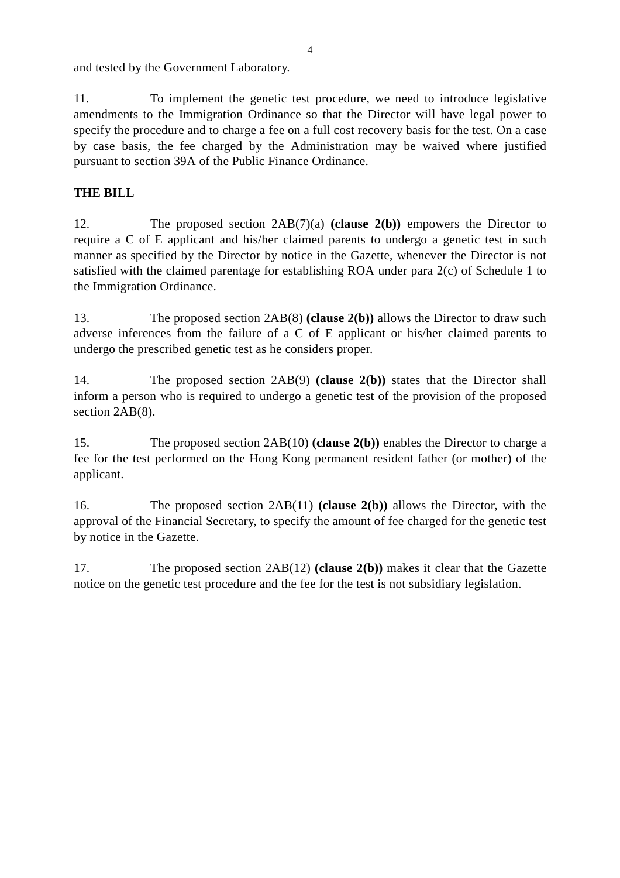and tested by the Government Laboratory.

11. To implement the genetic test procedure, we need to introduce legislative amendments to the Immigration Ordinance so that the Director will have legal power to specify the procedure and to charge a fee on a full cost recovery basis for the test. On a case by case basis, the fee charged by the Administration may be waived where justified pursuant to section 39A of the Public Finance Ordinance.

# **THE BILL**

12. The proposed section 2AB(7)(a) **(clause 2(b))** empowers the Director to require a C of E applicant and his/her claimed parents to undergo a genetic test in such manner as specified by the Director by notice in the Gazette, whenever the Director is not satisfied with the claimed parentage for establishing ROA under para 2(c) of Schedule 1 to the Immigration Ordinance.

13. The proposed section 2AB(8) **(clause 2(b))** allows the Director to draw such adverse inferences from the failure of a C of E applicant or his/her claimed parents to undergo the prescribed genetic test as he considers proper.

14. The proposed section 2AB(9) **(clause 2(b))** states that the Director shall inform a person who is required to undergo a genetic test of the provision of the proposed section 2AB(8).

15. The proposed section 2AB(10) **(clause 2(b))** enables the Director to charge a fee for the test performed on the Hong Kong permanent resident father (or mother) of the applicant.

16. The proposed section 2AB(11) **(clause 2(b))** allows the Director, with the approval of the Financial Secretary, to specify the amount of fee charged for the genetic test by notice in the Gazette.

17. The proposed section 2AB(12) **(clause 2(b))** makes it clear that the Gazette notice on the genetic test procedure and the fee for the test is not subsidiary legislation.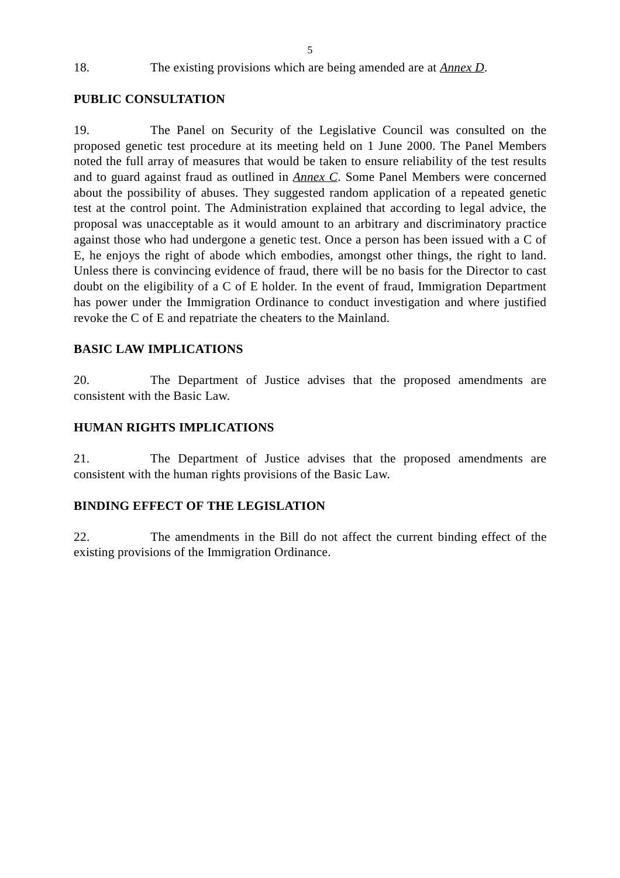18. The existing provisions which are being amended are at *Annex D*.

## **PUBLIC CONSULTATION**

19. The Panel on Security of the Legislative Council was consulted on the proposed genetic test procedure at its meeting held on 1 June 2000. The Panel Members noted the full array of measures that would be taken to ensure reliability of the test results and to guard against fraud as outlined in *Annex C*. Some Panel Members were concerned about the possibility of abuses. They suggested random application of a repeated genetic test at the control point. The Administration explained that according to legal advice, the proposal was unacceptable as it would amount to an arbitrary and discriminatory practice against those who had undergone a genetic test. Once a person has been issued with a C of E, he enjoys the right of abode which embodies, amongst other things, the right to land. Unless there is convincing evidence of fraud, there will be no basis for the Director to cast doubt on the eligibility of a C of E holder. In the event of fraud, Immigration Department has power under the Immigration Ordinance to conduct investigation and where justified revoke the C of E and repatriate the cheaters to the Mainland.

## **BASIC LAW IMPLICATIONS**

20. The Department of Justice advises that the proposed amendments are consistent with the Basic Law.

## **HUMAN RIGHTS IMPLICATIONS**

21. The Department of Justice advises that the proposed amendments are consistent with the human rights provisions of the Basic Law.

## **BINDING EFFECT OF THE LEGISLATION**

22. The amendments in the Bill do not affect the current binding effect of the existing provisions of the Immigration Ordinance.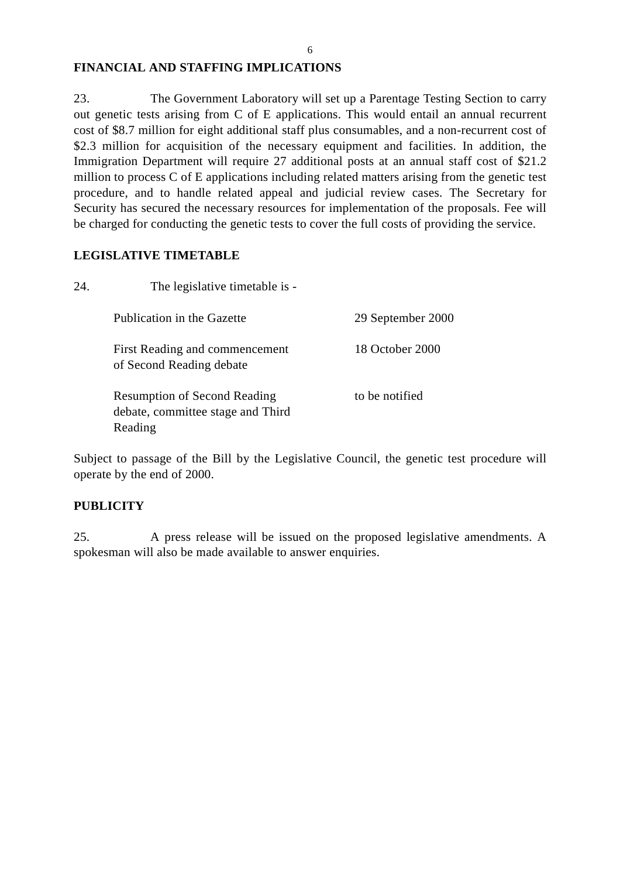## **FINANCIAL AND STAFFING IMPLICATIONS**

23. The Government Laboratory will set up a Parentage Testing Section to carry out genetic tests arising from C of E applications. This would entail an annual recurrent cost of \$8.7 million for eight additional staff plus consumables, and a non-recurrent cost of \$2.3 million for acquisition of the necessary equipment and facilities. In addition, the Immigration Department will require 27 additional posts at an annual staff cost of \$21.2 million to process C of E applications including related matters arising from the genetic test procedure, and to handle related appeal and judicial review cases. The Secretary for Security has secured the necessary resources for implementation of the proposals. Fee will be charged for conducting the genetic tests to cover the full costs of providing the service.

## **LEGISLATIVE TIMETABLE**

24. The legislative timetable is - Publication in the Gazette 29 September 2000 First Reading and commencement of Second Reading debate 18 October 2000 Resumption of Second Reading debate, committee stage and Third Reading to be notified

Subject to passage of the Bill by the Legislative Council, the genetic test procedure will operate by the end of 2000.

## **PUBLICITY**

25. A press release will be issued on the proposed legislative amendments. A spokesman will also be made available to answer enquiries.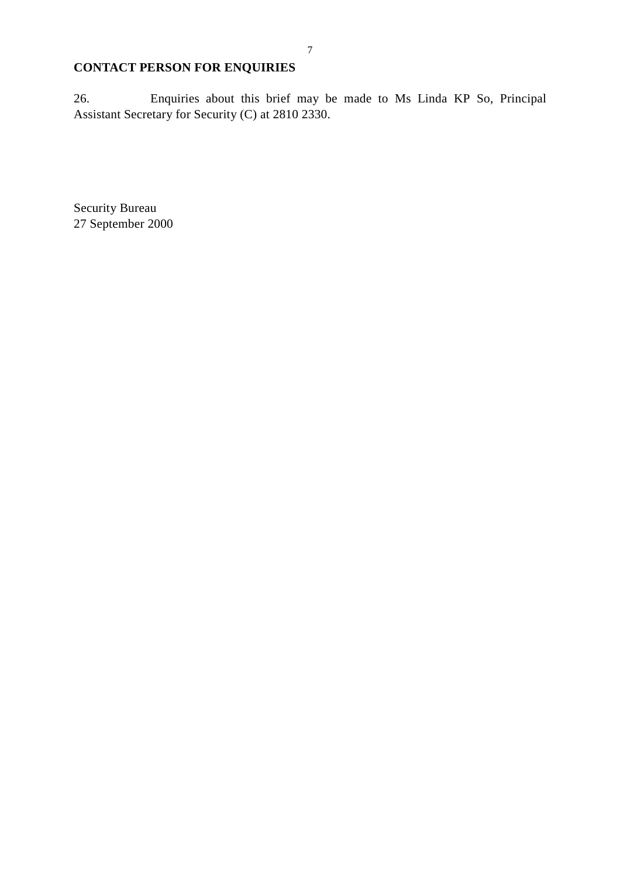# **CONTACT PERSON FOR ENQUIRIES**

26. Enquiries about this brief may be made to Ms Linda KP So, Principal Assistant Secretary for Security (C) at 2810 2330.

Security Bureau 27 September 2000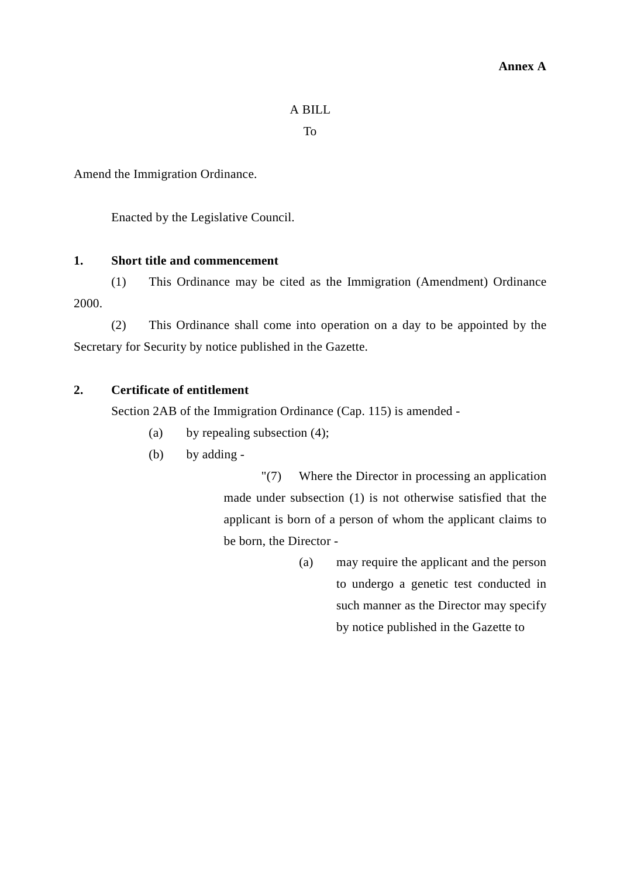# A BILL

To

Amend the Immigration Ordinance.

Enacted by the Legislative Council.

## **1. Short title and commencement**

(1) This Ordinance may be cited as the Immigration (Amendment) Ordinance 2000.

(2) This Ordinance shall come into operation on a day to be appointed by the Secretary for Security by notice published in the Gazette.

# **2. Certificate of entitlement**

Section 2AB of the Immigration Ordinance (Cap. 115) is amended -

- (a) by repealing subsection (4);
- (b) by adding -

"(7) Where the Director in processing an application made under subsection (1) is not otherwise satisfied that the applicant is born of a person of whom the applicant claims to be born, the Director -

> (a) may require the applicant and the person to undergo a genetic test conducted in such manner as the Director may specify by notice published in the Gazette to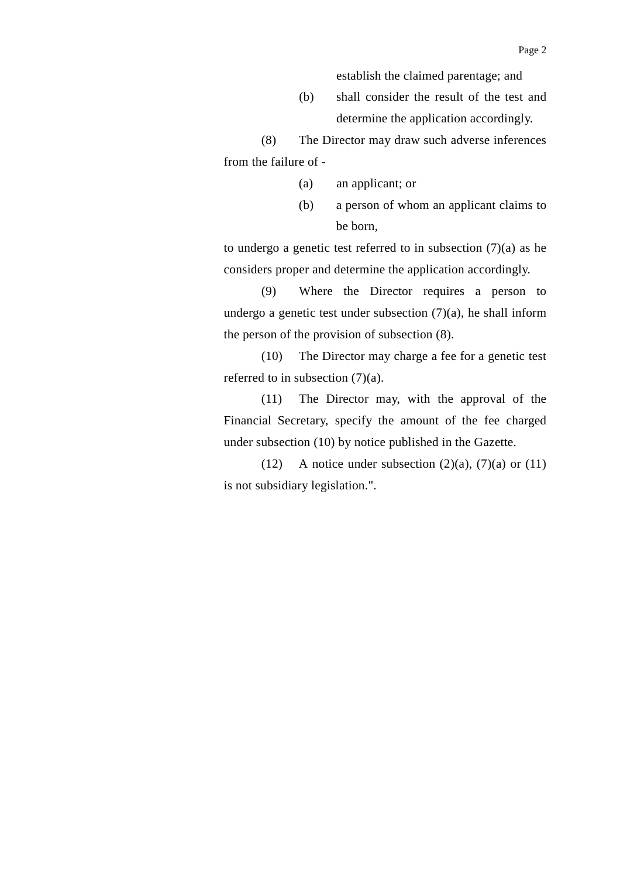(b) shall consider the result of the test and determine the application accordingly.

(8) The Director may draw such adverse inferences from the failure of -

- (a) an applicant; or
- (b) a person of whom an applicant claims to be born,

to undergo a genetic test referred to in subsection  $(7)(a)$  as he considers proper and determine the application accordingly.

(9) Where the Director requires a person to undergo a genetic test under subsection  $(7)(a)$ , he shall inform the person of the provision of subsection (8).

(10) The Director may charge a fee for a genetic test referred to in subsection (7)(a).

(11) The Director may, with the approval of the Financial Secretary, specify the amount of the fee charged under subsection (10) by notice published in the Gazette.

(12) A notice under subsection  $(2)(a)$ ,  $(7)(a)$  or  $(11)$ is not subsidiary legislation.".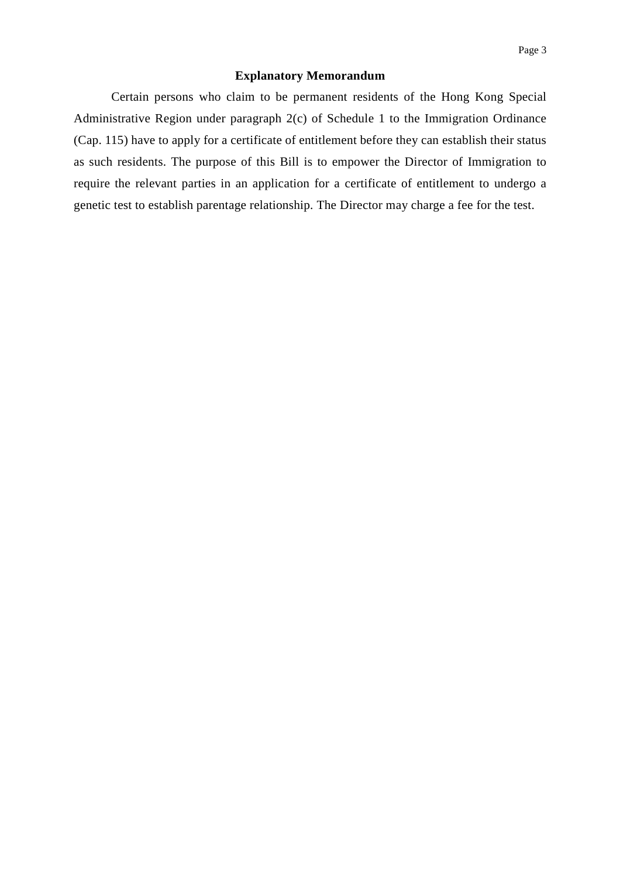### **Explanatory Memorandum**

Certain persons who claim to be permanent residents of the Hong Kong Special Administrative Region under paragraph 2(c) of Schedule 1 to the Immigration Ordinance (Cap. 115) have to apply for a certificate of entitlement before they can establish their status as such residents. The purpose of this Bill is to empower the Director of Immigration to require the relevant parties in an application for a certificate of entitlement to undergo a genetic test to establish parentage relationship. The Director may charge a fee for the test.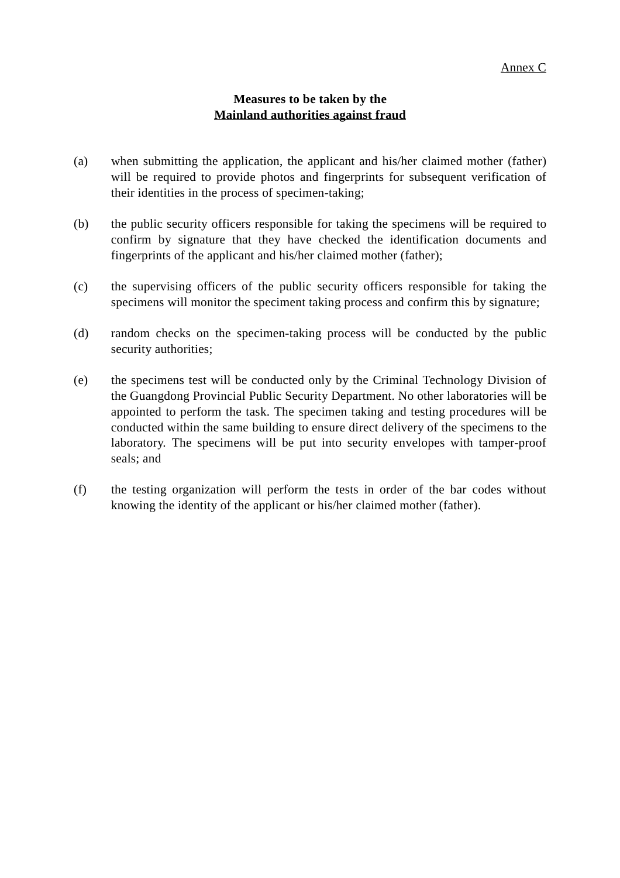## **Measures to be taken by the Mainland authorities against fraud**

- (a) when submitting the application, the applicant and his/her claimed mother (father) will be required to provide photos and fingerprints for subsequent verification of their identities in the process of specimen-taking;
- (b) the public security officers responsible for taking the specimens will be required to confirm by signature that they have checked the identification documents and fingerprints of the applicant and his/her claimed mother (father);
- (c) the supervising officers of the public security officers responsible for taking the specimens will monitor the speciment taking process and confirm this by signature;
- (d) random checks on the specimen-taking process will be conducted by the public security authorities;
- (e) the specimens test will be conducted only by the Criminal Technology Division of the Guangdong Provincial Public Security Department. No other laboratories will be appointed to perform the task. The specimen taking and testing procedures will be conducted within the same building to ensure direct delivery of the specimens to the laboratory. The specimens will be put into security envelopes with tamper-proof seals; and
- (f) the testing organization will perform the tests in order of the bar codes without knowing the identity of the applicant or his/her claimed mother (father).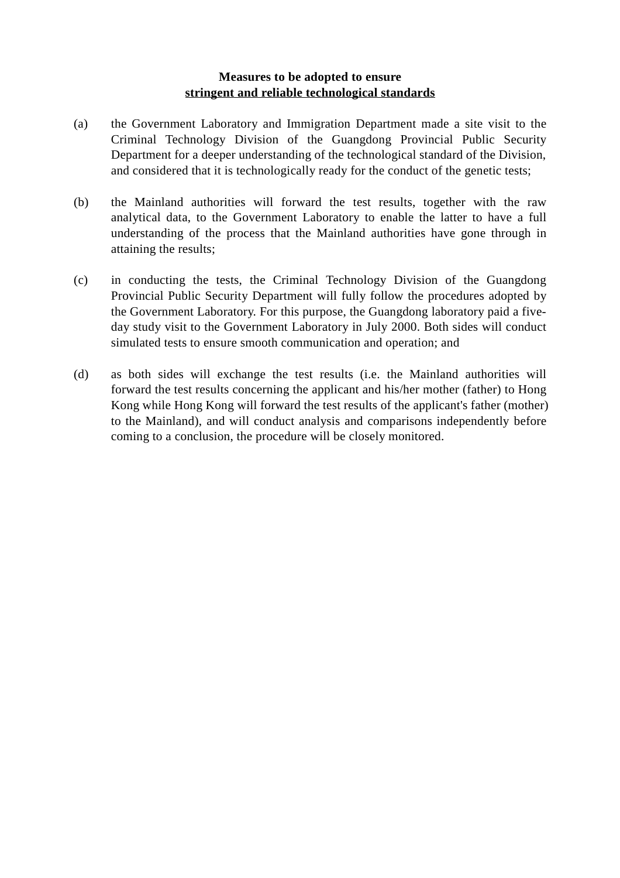## **Measures to be adopted to ensure stringent and reliable technological standards**

- (a) the Government Laboratory and Immigration Department made a site visit to the Criminal Technology Division of the Guangdong Provincial Public Security Department for a deeper understanding of the technological standard of the Division, and considered that it is technologically ready for the conduct of the genetic tests;
- (b) the Mainland authorities will forward the test results, together with the raw analytical data, to the Government Laboratory to enable the latter to have a full understanding of the process that the Mainland authorities have gone through in attaining the results;
- (c) in conducting the tests, the Criminal Technology Division of the Guangdong Provincial Public Security Department will fully follow the procedures adopted by the Government Laboratory. For this purpose, the Guangdong laboratory paid a fiveday study visit to the Government Laboratory in July 2000. Both sides will conduct simulated tests to ensure smooth communication and operation; and
- (d) as both sides will exchange the test results (i.e. the Mainland authorities will forward the test results concerning the applicant and his/her mother (father) to Hong Kong while Hong Kong will forward the test results of the applicant's father (mother) to the Mainland), and will conduct analysis and comparisons independently before coming to a conclusion, the procedure will be closely monitored.